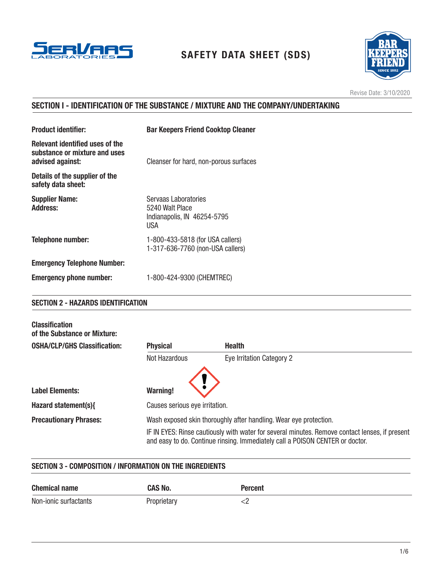

# SAFETY DATA SHEET (SDS)



Revise Date: 3/10/2020

# SECTION I - IDENTIFICATION OF THE SUBSTANCE / MIXTURE AND THE COMPANY/UNDERTAKING

| <b>Product identifier:</b>                                                           | <b>Bar Keepers Friend Cooktop Cleaner</b>                                     |
|--------------------------------------------------------------------------------------|-------------------------------------------------------------------------------|
| Relevant identified uses of the<br>substance or mixture and uses<br>advised against: | Cleanser for hard, non-porous surfaces                                        |
| Details of the supplier of the<br>safety data sheet:                                 |                                                                               |
| <b>Supplier Name:</b><br><b>Address:</b>                                             | Servaas Laboratories<br>5240 Walt Place<br>Indianapolis, IN 46254-5795<br>USA |
| <b>Telephone number:</b>                                                             | 1-800-433-5818 (for USA callers)<br>1-317-636-7760 (non-USA callers)          |
| <b>Emergency Telephone Number:</b>                                                   |                                                                               |
| <b>Emergency phone number:</b>                                                       | 1-800-424-9300 (CHEMTREC)                                                     |

## SECTION 2 - HAZARDS IDENTIFICATION

| <b>Classification</b><br>of the Substance or Mixture: |                                                                   |                                                                                                                                                                                 |
|-------------------------------------------------------|-------------------------------------------------------------------|---------------------------------------------------------------------------------------------------------------------------------------------------------------------------------|
| <b>OSHA/CLP/GHS Classification:</b>                   | <b>Physical</b>                                                   | <b>Health</b>                                                                                                                                                                   |
|                                                       | Not Hazardous                                                     | Eye Irritation Category 2                                                                                                                                                       |
| <b>Label Elements:</b>                                | <b>Warning!</b>                                                   |                                                                                                                                                                                 |
| Hazard statement(s){                                  | Causes serious eye irritation.                                    |                                                                                                                                                                                 |
| <b>Precautionary Phrases:</b>                         | Wash exposed skin thoroughly after handling. Wear eye protection. |                                                                                                                                                                                 |
|                                                       |                                                                   | IF IN EYES: Rinse cautiously with water for several minutes. Remove contact lenses, if present<br>and easy to do. Continue rinsing. Immediately call a POISON CENTER or doctor. |

## SECTION 3 - COMPOSITION / INFORMATION ON THE INGREDIENTS

| <b>Chemical name</b>  | <b>CAS No.</b> | Percent |
|-----------------------|----------------|---------|
| Non-ionic surfactants | Proprietary    |         |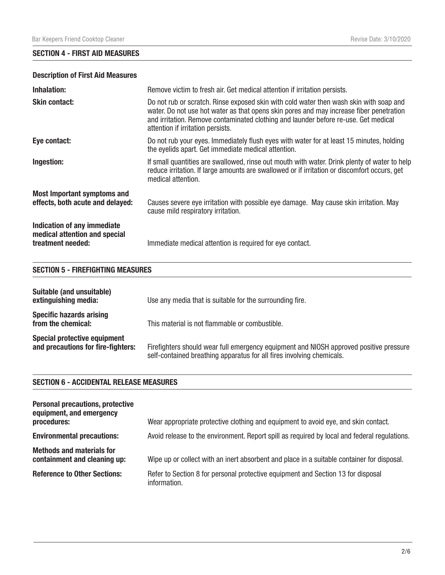# SECTION 4 - FIRST AID MEASURES

# Description of First Aid Measures

| <b>Inhalation:</b>                                                                | Remove victim to fresh air. Get medical attention if irritation persists.                                                                                                                                                                                                                                     |
|-----------------------------------------------------------------------------------|---------------------------------------------------------------------------------------------------------------------------------------------------------------------------------------------------------------------------------------------------------------------------------------------------------------|
| <b>Skin contact:</b>                                                              | Do not rub or scratch. Rinse exposed skin with cold water then wash skin with soap and<br>water. Do not use hot water as that opens skin pores and may increase fiber penetration<br>and irritation. Remove contaminated clothing and launder before re-use. Get medical<br>attention if irritation persists. |
| Eye contact:                                                                      | Do not rub your eyes. Immediately flush eyes with water for at least 15 minutes, holding<br>the eyelids apart. Get immediate medical attention.                                                                                                                                                               |
| Ingestion:                                                                        | If small quantities are swallowed, rinse out mouth with water. Drink plenty of water to help<br>reduce irritation. If large amounts are swallowed or if irritation or discomfort occurs, get<br>medical attention.                                                                                            |
| <b>Most Important symptoms and</b><br>effects, both acute and delayed:            | Causes severe eye irritation with possible eye damage. May cause skin irritation. May<br>cause mild respiratory irritation.                                                                                                                                                                                   |
| Indication of any immediate<br>medical attention and special<br>treatment needed: | Immediate medical attention is required for eye contact.                                                                                                                                                                                                                                                      |

## SECTION 5 - FIREFIGHTING MEASURES

| Suitable (and unsuitable)<br>extinguishing media:                         | Use any media that is suitable for the surrounding fire.                                                                                                        |
|---------------------------------------------------------------------------|-----------------------------------------------------------------------------------------------------------------------------------------------------------------|
| <b>Specific hazards arising</b><br>from the chemical:                     | This material is not flammable or combustible.                                                                                                                  |
| <b>Special protective equipment</b><br>and precautions for fire-fighters: | Firefighters should wear full emergency equipment and NIOSH approved positive pressure<br>self-contained breathing apparatus for all fires involving chemicals. |

#### SECTION 6 - ACCIDENTAL RELEASE MEASURES

| <b>Personal precautions, protective</b><br>equipment, and emergency<br>procedures: | Wear appropriate protective clothing and equipment to avoid eye, and skin contact.               |
|------------------------------------------------------------------------------------|--------------------------------------------------------------------------------------------------|
| <b>Environmental precautions:</b>                                                  | Avoid release to the environment. Report spill as required by local and federal regulations.     |
| <b>Methods and materials for</b><br>containment and cleaning up:                   | Wipe up or collect with an inert absorbent and place in a suitable container for disposal.       |
| <b>Reference to Other Sections:</b>                                                | Refer to Section 8 for personal protective equipment and Section 13 for disposal<br>information. |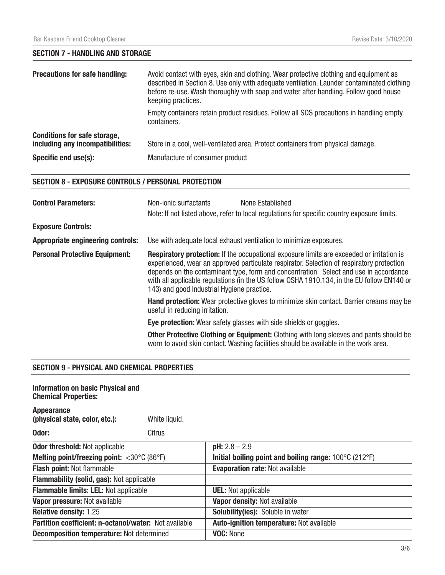# SECTION 7 - HANDLING AND STORAGE

| <b>Precautions for safe handling:</b>                                   | Avoid contact with eyes, skin and clothing. Wear protective clothing and equipment as<br>described in Section 8. Use only with adequate ventilation. Launder contaminated clothing<br>before re-use. Wash thoroughly with soap and water after handling. Follow good house<br>keeping practices. |
|-------------------------------------------------------------------------|--------------------------------------------------------------------------------------------------------------------------------------------------------------------------------------------------------------------------------------------------------------------------------------------------|
|                                                                         | Empty containers retain product residues. Follow all SDS precautions in handling empty<br>containers.                                                                                                                                                                                            |
| <b>Conditions for safe storage,</b><br>including any incompatibilities: | Store in a cool, well-ventilated area. Protect containers from physical damage.                                                                                                                                                                                                                  |
| Specific end use(s):                                                    | Manufacture of consumer product                                                                                                                                                                                                                                                                  |

## SECTION 8 - EXPOSURE CONTROLS / PERSONAL PROTECTION

| <b>Control Parameters:</b>               | Non-ionic surfactants                      | None Established<br>Note: If not listed above, refer to local regulations for specific country exposure limits.                                                                                                                                                                                                                                                                      |
|------------------------------------------|--------------------------------------------|--------------------------------------------------------------------------------------------------------------------------------------------------------------------------------------------------------------------------------------------------------------------------------------------------------------------------------------------------------------------------------------|
| <b>Exposure Controls:</b>                |                                            |                                                                                                                                                                                                                                                                                                                                                                                      |
| <b>Appropriate engineering controls:</b> |                                            | Use with adequate local exhaust ventilation to minimize exposures.                                                                                                                                                                                                                                                                                                                   |
| <b>Personal Protective Equipment:</b>    | 143) and good Industrial Hygiene practice. | <b>Respiratory protection:</b> If the occupational exposure limits are exceeded or irritation is<br>experienced, wear an approved particulate respirator. Selection of respiratory protection<br>depends on the contaminant type, form and concentration. Select and use in accordance<br>with all applicable regulations (in the US follow OSHA 1910.134, in the EU follow EN140 or |
|                                          | useful in reducing irritation.             | <b>Hand protection:</b> Wear protective gloves to minimize skin contact. Barrier creams may be                                                                                                                                                                                                                                                                                       |
|                                          |                                            | <b>Eye protection:</b> Wear safety glasses with side shields or goggles.                                                                                                                                                                                                                                                                                                             |
|                                          |                                            | <b>Other Protective Clothing or Equipment:</b> Clothing with long sleeves and pants should be<br>worn to avoid skin contact. Washing facilities should be available in the work area.                                                                                                                                                                                                |

## SECTION 9 - PHYSICAL AND CHEMICAL PROPERTIES

| <b>Information on basic Physical and</b><br><b>Chemical Properties:</b> |               |                                                                             |
|-------------------------------------------------------------------------|---------------|-----------------------------------------------------------------------------|
| <b>Appearance</b><br>(physical state, color, etc.):                     | White liquid. |                                                                             |
| Odor:                                                                   | Citrus        |                                                                             |
| <b>Odor threshold: Not applicable</b>                                   |               | $pH: 2.8 - 2.9$                                                             |
| Melting point/freezing point: $<$ 30 $\degree$ C (86 $\degree$ F)       |               | Initial boiling point and boiling range: $100^{\circ}$ C (212 $^{\circ}$ F) |
| <b>Flash point: Not flammable</b>                                       |               | <b>Evaporation rate: Not available</b>                                      |
| <b>Flammability (solid, gas): Not applicable</b>                        |               |                                                                             |
| <b>Flammable limits: LEL: Not applicable</b>                            |               | <b>UEL:</b> Not applicable                                                  |
| Vapor pressure: Not available                                           |               | Vapor density: Not available                                                |
| <b>Relative density: 1.25</b>                                           |               | <b>Solubility(ies):</b> Soluble in water                                    |
| Partition coefficient: n-octanol/water: Not available                   |               | <b>Auto-ignition temperature: Not available</b>                             |
| <b>Decomposition temperature: Not determined</b>                        |               | VOC: None                                                                   |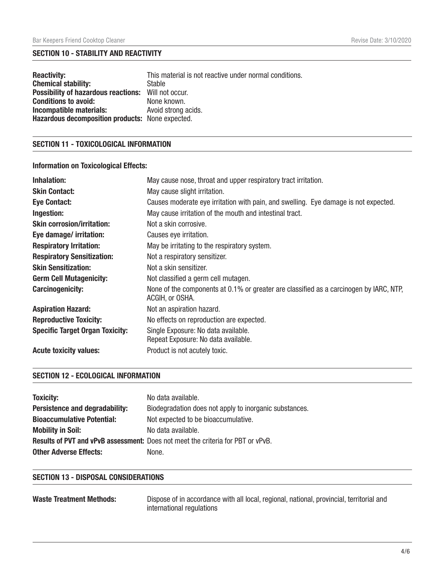# SECTION 10 - STABILITY AND REACTIVITY

| <b>Reactivity:</b>                                         | This material is not reactive under normal conditions. |
|------------------------------------------------------------|--------------------------------------------------------|
| <b>Chemical stability:</b>                                 | <b>Stable</b>                                          |
| <b>Possibility of hazardous reactions:</b> Will not occur. |                                                        |
| <b>Conditions to avoid:</b>                                | None known.                                            |
| Incompatible materials:                                    | Avoid strong acids.                                    |
| Hazardous decomposition products: None expected.           |                                                        |

# SECTION 11 - TOXICOLOGICAL INFORMATION

# Information on Toxicological Effects:

| Inhalation:                            | May cause nose, throat and upper respiratory tract irritation.                                            |
|----------------------------------------|-----------------------------------------------------------------------------------------------------------|
| <b>Skin Contact:</b>                   | May cause slight irritation.                                                                              |
| <b>Eye Contact:</b>                    | Causes moderate eye irritation with pain, and swelling. Eye damage is not expected.                       |
| Ingestion:                             | May cause irritation of the mouth and intestinal tract.                                                   |
| <b>Skin corrosion/irritation:</b>      | Not a skin corrosive.                                                                                     |
| Eye damage/ irritation:                | Causes eye irritation.                                                                                    |
| <b>Respiratory Irritation:</b>         | May be irritating to the respiratory system.                                                              |
| <b>Respiratory Sensitization:</b>      | Not a respiratory sensitizer.                                                                             |
| <b>Skin Sensitization:</b>             | Not a skin sensitizer.                                                                                    |
| <b>Germ Cell Mutagenicity:</b>         | Not classified a germ cell mutagen.                                                                       |
| <b>Carcinogenicity:</b>                | None of the components at 0.1% or greater are classified as a carcinogen by IARC, NTP,<br>ACGIH, or OSHA. |
| <b>Aspiration Hazard:</b>              | Not an aspiration hazard.                                                                                 |
| <b>Reproductive Toxicity:</b>          | No effects on reproduction are expected.                                                                  |
| <b>Specific Target Organ Toxicity:</b> | Single Exposure: No data available.<br>Repeat Exposure: No data available.                                |
| <b>Acute toxicity values:</b>          | Product is not acutely toxic.                                                                             |

## SECTION 12 - ECOLOGICAL INFORMATION

| <b>Toxicity:</b>                  | No data available.                                                                     |
|-----------------------------------|----------------------------------------------------------------------------------------|
| Persistence and degradability:    | Biodegradation does not apply to inorganic substances.                                 |
| <b>Bioaccumulative Potential:</b> | Not expected to be bioaccumulative.                                                    |
| <b>Mobility in Soil:</b>          | No data available.                                                                     |
|                                   | <b>Results of PVT and vPvB assessment:</b> Does not meet the criteria for PBT or vPvB. |
| <b>Other Adverse Effects:</b>     | None.                                                                                  |

#### SECTION 13 - DISPOSAL CONSIDERATIONS

| <b>Waste Treatment Methods:</b> | Dispose of in accordance with all local, regional, national, provincial, territorial and |
|---------------------------------|------------------------------------------------------------------------------------------|
|                                 | international regulations                                                                |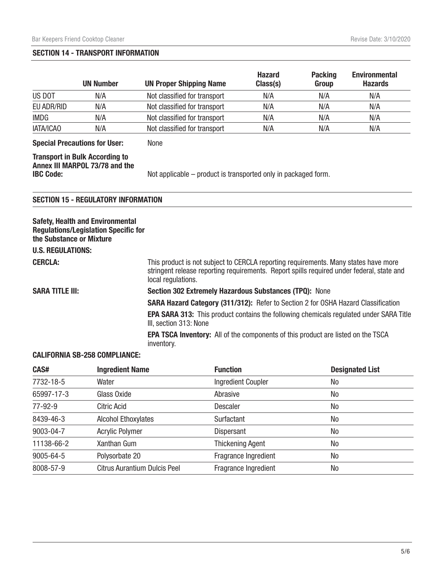#### SECTION 14 - TRANSPORT INFORMATION

|             | <b>UN Number</b> | <b>UN Proper Shipping Name</b> | <b>Hazard</b><br>Class(s) | <b>Packing</b><br>Group | <b>Environmental</b><br><b>Hazards</b> |
|-------------|------------------|--------------------------------|---------------------------|-------------------------|----------------------------------------|
| US DOT      | N/A              | Not classified for transport   | N/A                       | N/A                     | N/A                                    |
| EU ADR/RID  | N/A              | Not classified for transport   | N/A                       | N/A                     | N/A                                    |
| <b>IMDG</b> | N/A              | Not classified for transport   | N/A                       | N/A                     | N/A                                    |
| IATA/ICAO   | N/A              | Not classified for transport   | N/A                       | N/A                     | N/A                                    |

Special Precautions for User: None

Transport in Bulk According to

Annex III MARPOL 73/78 and the

IBC Code: Not applicable – product is transported only in packaged form.

## SECTION 15 - REGULATORY INFORMATION

| <b>Safety, Health and Environmental</b><br><b>Regulations/Legislation Specific for</b><br>the Substance or Mixture<br><b>U.S. REGULATIONS:</b> |                                                                                                                                                                                                        |
|------------------------------------------------------------------------------------------------------------------------------------------------|--------------------------------------------------------------------------------------------------------------------------------------------------------------------------------------------------------|
| <b>CERCLA:</b>                                                                                                                                 | This product is not subject to CERCLA reporting requirements. Many states have more<br>stringent release reporting requirements. Report spills required under federal, state and<br>local regulations. |
| <b>SARA TITLE III:</b>                                                                                                                         | Section 302 Extremely Hazardous Substances (TPQ): None                                                                                                                                                 |
|                                                                                                                                                | <b>SARA Hazard Category (311/312):</b> Refer to Section 2 for OSHA Hazard Classification                                                                                                               |
|                                                                                                                                                | <b>EPA SARA 313:</b> This product contains the following chemicals regulated under SARA Title<br>III, section 313: None                                                                                |
|                                                                                                                                                | <b>EPA TSCA Inventory:</b> All of the components of this product are listed on the TSCA<br>inventory.                                                                                                  |

## CALIFORNIA SB-258 COMPLIANCE:

| CAS#       | <b>Ingredient Name</b>              | <b>Function</b>           | <b>Designated List</b> |
|------------|-------------------------------------|---------------------------|------------------------|
| 7732-18-5  | Water                               | <b>Ingredient Coupler</b> | No                     |
| 65997-17-3 | Glass Oxide                         | Abrasive                  | No                     |
| 77-92-9    | Citric Acid                         | <b>Descaler</b>           | No                     |
| 8439-46-3  | <b>Alcohol Ethoxylates</b>          | Surfactant                | No                     |
| 9003-04-7  | <b>Acrylic Polymer</b>              | <b>Dispersant</b>         | No                     |
| 11138-66-2 | Xanthan Gum                         | <b>Thickening Agent</b>   | No                     |
| 9005-64-5  | Polysorbate 20                      | Fragrance Ingredient      | No                     |
| 8008-57-9  | <b>Citrus Aurantium Dulcis Peel</b> | Fragrance Ingredient      | No                     |